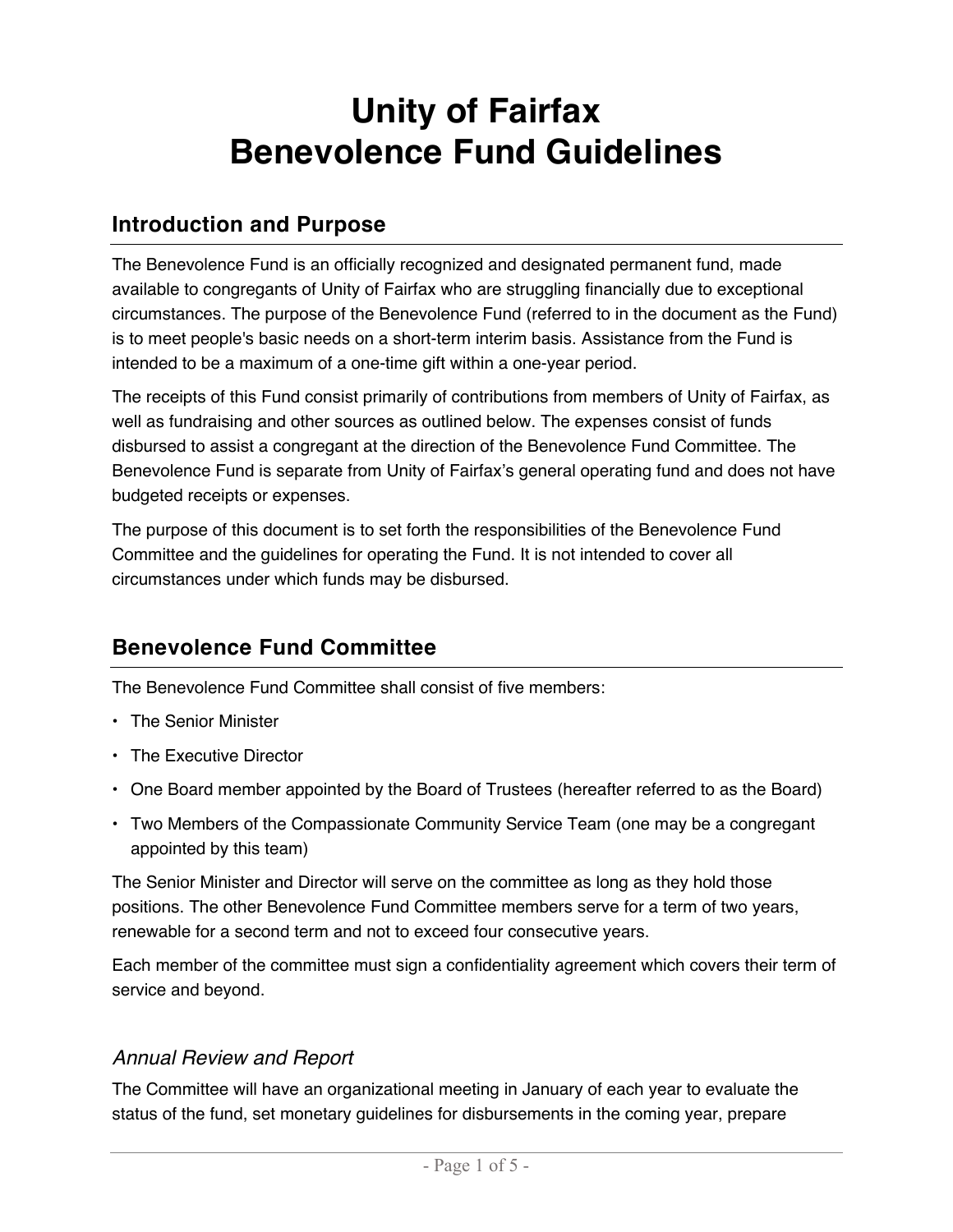# **Unity of Fairfax Benevolence Fund Guidelines**

## **Introduction and Purpose**

The Benevolence Fund is an officially recognized and designated permanent fund, made available to congregants of Unity of Fairfax who are struggling financially due to exceptional circumstances. The purpose of the Benevolence Fund (referred to in the document as the Fund) is to meet people's basic needs on a short-term interim basis. Assistance from the Fund is intended to be a maximum of a one-time gift within a one-year period.

The receipts of this Fund consist primarily of contributions from members of Unity of Fairfax, as well as fundraising and other sources as outlined below. The expenses consist of funds disbursed to assist a congregant at the direction of the Benevolence Fund Committee. The Benevolence Fund is separate from Unity of Fairfax's general operating fund and does not have budgeted receipts or expenses.

The purpose of this document is to set forth the responsibilities of the Benevolence Fund Committee and the guidelines for operating the Fund. It is not intended to cover all circumstances under which funds may be disbursed.

# **Benevolence Fund Committee**

The Benevolence Fund Committee shall consist of five members:

- The Senior Minister
- The Executive Director
- One Board member appointed by the Board of Trustees (hereafter referred to as the Board)
- Two Members of the Compassionate Community Service Team (one may be a congregant appointed by this team)

The Senior Minister and Director will serve on the committee as long as they hold those positions. The other Benevolence Fund Committee members serve for a term of two years, renewable for a second term and not to exceed four consecutive years.

Each member of the committee must sign a confidentiality agreement which covers their term of service and beyond.

## *Annual Review and Report*

The Committee will have an organizational meeting in January of each year to evaluate the status of the fund, set monetary guidelines for disbursements in the coming year, prepare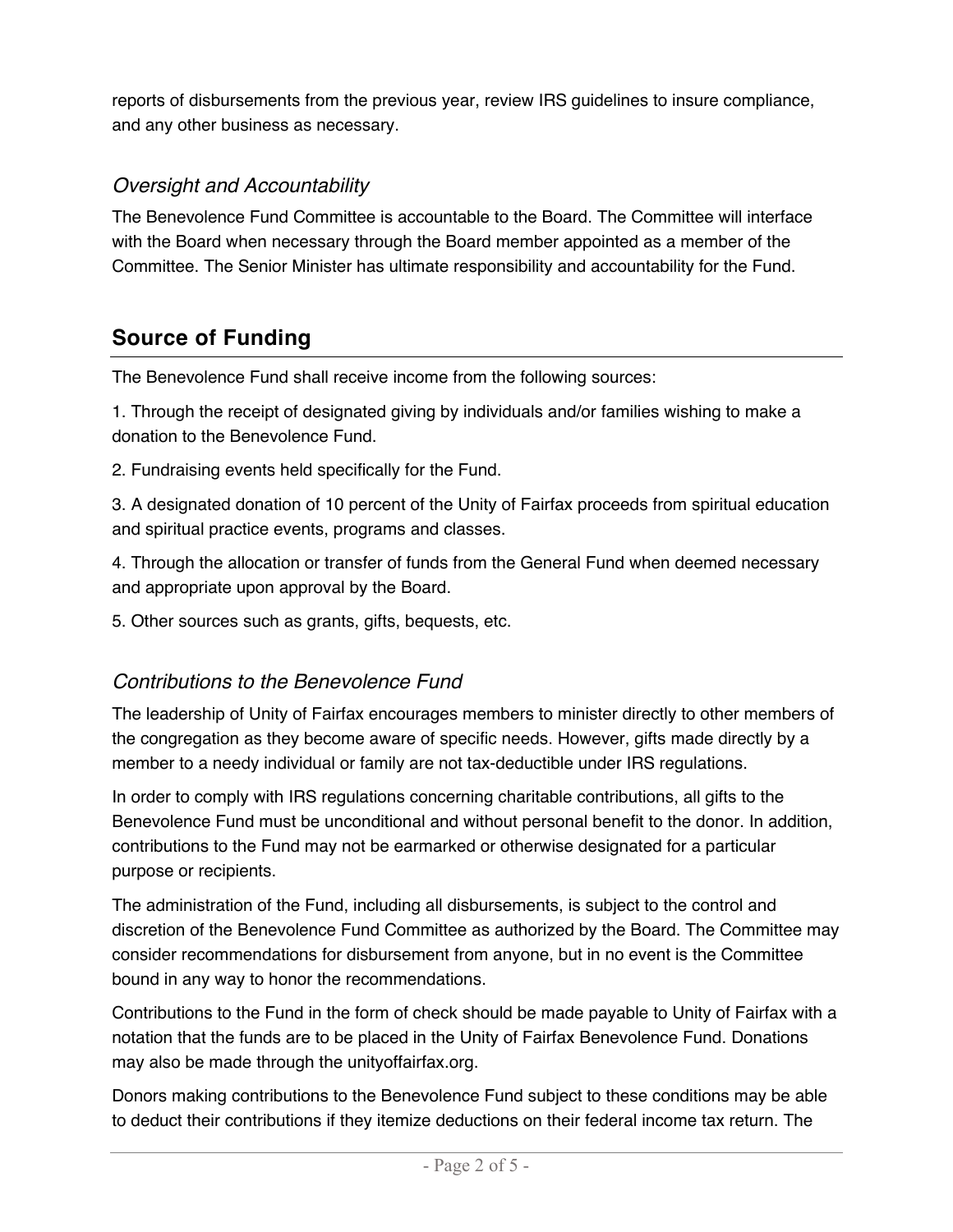reports of disbursements from the previous year, review IRS guidelines to insure compliance, and any other business as necessary.

## *Oversight and Accountability*

The Benevolence Fund Committee is accountable to the Board. The Committee will interface with the Board when necessary through the Board member appointed as a member of the Committee. The Senior Minister has ultimate responsibility and accountability for the Fund.

# **Source of Funding**

The Benevolence Fund shall receive income from the following sources:

1. Through the receipt of designated giving by individuals and/or families wishing to make a donation to the Benevolence Fund.

2. Fundraising events held specifically for the Fund.

3. A designated donation of 10 percent of the Unity of Fairfax proceeds from spiritual education and spiritual practice events, programs and classes.

4. Through the allocation or transfer of funds from the General Fund when deemed necessary and appropriate upon approval by the Board.

5. Other sources such as grants, gifts, bequests, etc.

## *Contributions to the Benevolence Fund*

The leadership of Unity of Fairfax encourages members to minister directly to other members of the congregation as they become aware of specific needs. However, gifts made directly by a member to a needy individual or family are not tax-deductible under IRS regulations.

In order to comply with IRS regulations concerning charitable contributions, all gifts to the Benevolence Fund must be unconditional and without personal benefit to the donor. In addition, contributions to the Fund may not be earmarked or otherwise designated for a particular purpose or recipients.

The administration of the Fund, including all disbursements, is subject to the control and discretion of the Benevolence Fund Committee as authorized by the Board. The Committee may consider recommendations for disbursement from anyone, but in no event is the Committee bound in any way to honor the recommendations.

Contributions to the Fund in the form of check should be made payable to Unity of Fairfax with a notation that the funds are to be placed in the Unity of Fairfax Benevolence Fund. Donations may also be made through the unityoffairfax.org.

Donors making contributions to the Benevolence Fund subject to these conditions may be able to deduct their contributions if they itemize deductions on their federal income tax return. The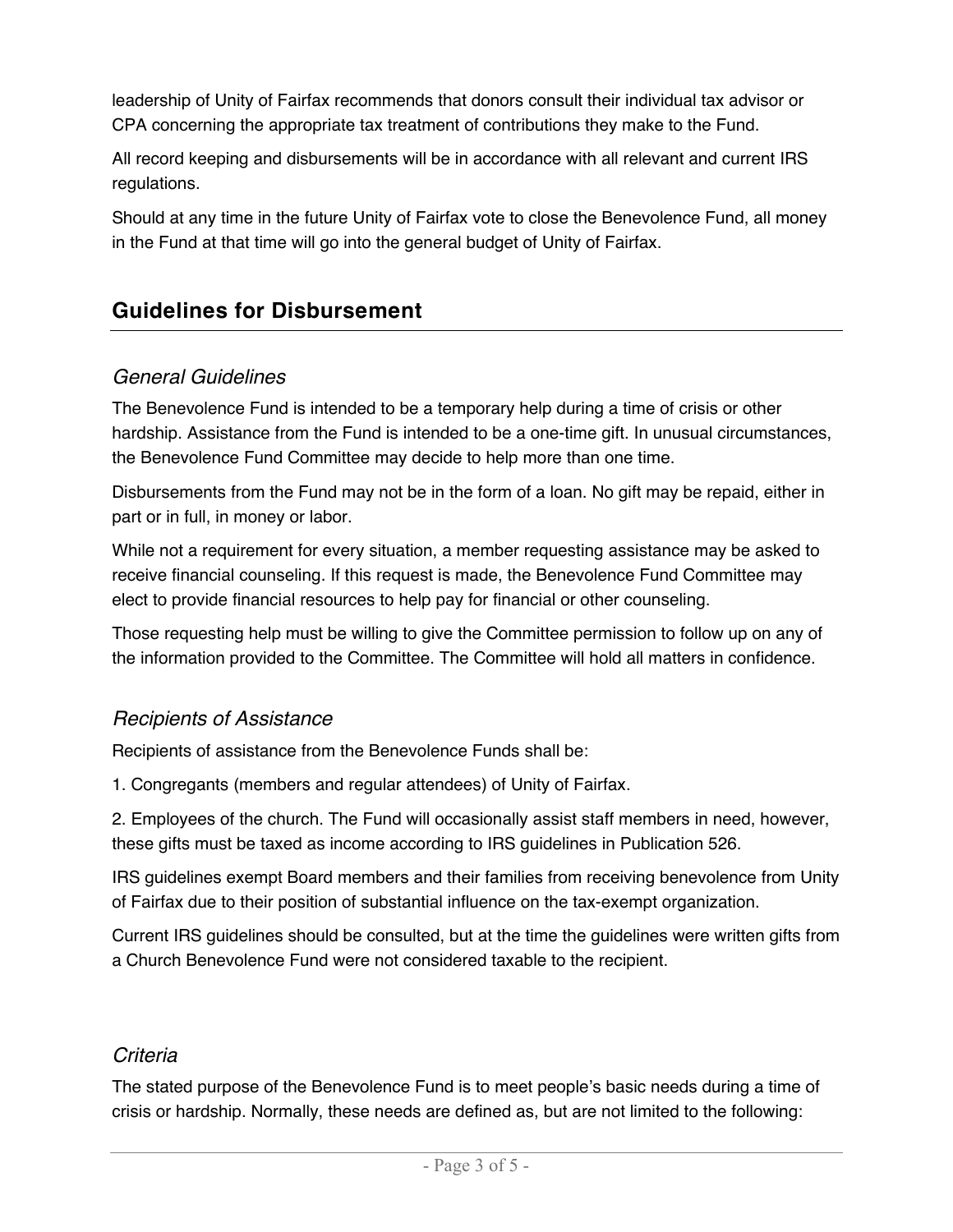leadership of Unity of Fairfax recommends that donors consult their individual tax advisor or CPA concerning the appropriate tax treatment of contributions they make to the Fund.

All record keeping and disbursements will be in accordance with all relevant and current IRS regulations.

Should at any time in the future Unity of Fairfax vote to close the Benevolence Fund, all money in the Fund at that time will go into the general budget of Unity of Fairfax.

## **Guidelines for Disbursement**

#### *General Guidelines*

The Benevolence Fund is intended to be a temporary help during a time of crisis or other hardship. Assistance from the Fund is intended to be a one-time gift. In unusual circumstances, the Benevolence Fund Committee may decide to help more than one time.

Disbursements from the Fund may not be in the form of a loan. No gift may be repaid, either in part or in full, in money or labor.

While not a requirement for every situation, a member requesting assistance may be asked to receive financial counseling. If this request is made, the Benevolence Fund Committee may elect to provide financial resources to help pay for financial or other counseling.

Those requesting help must be willing to give the Committee permission to follow up on any of the information provided to the Committee. The Committee will hold all matters in confidence.

#### *Recipients of Assistance*

Recipients of assistance from the Benevolence Funds shall be:

1. Congregants (members and regular attendees) of Unity of Fairfax.

2. Employees of the church. The Fund will occasionally assist staff members in need, however, these gifts must be taxed as income according to IRS guidelines in Publication 526.

IRS guidelines exempt Board members and their families from receiving benevolence from Unity of Fairfax due to their position of substantial influence on the tax-exempt organization.

Current IRS guidelines should be consulted, but at the time the guidelines were written gifts from a Church Benevolence Fund were not considered taxable to the recipient.

#### *Criteria*

The stated purpose of the Benevolence Fund is to meet people's basic needs during a time of crisis or hardship. Normally, these needs are defined as, but are not limited to the following: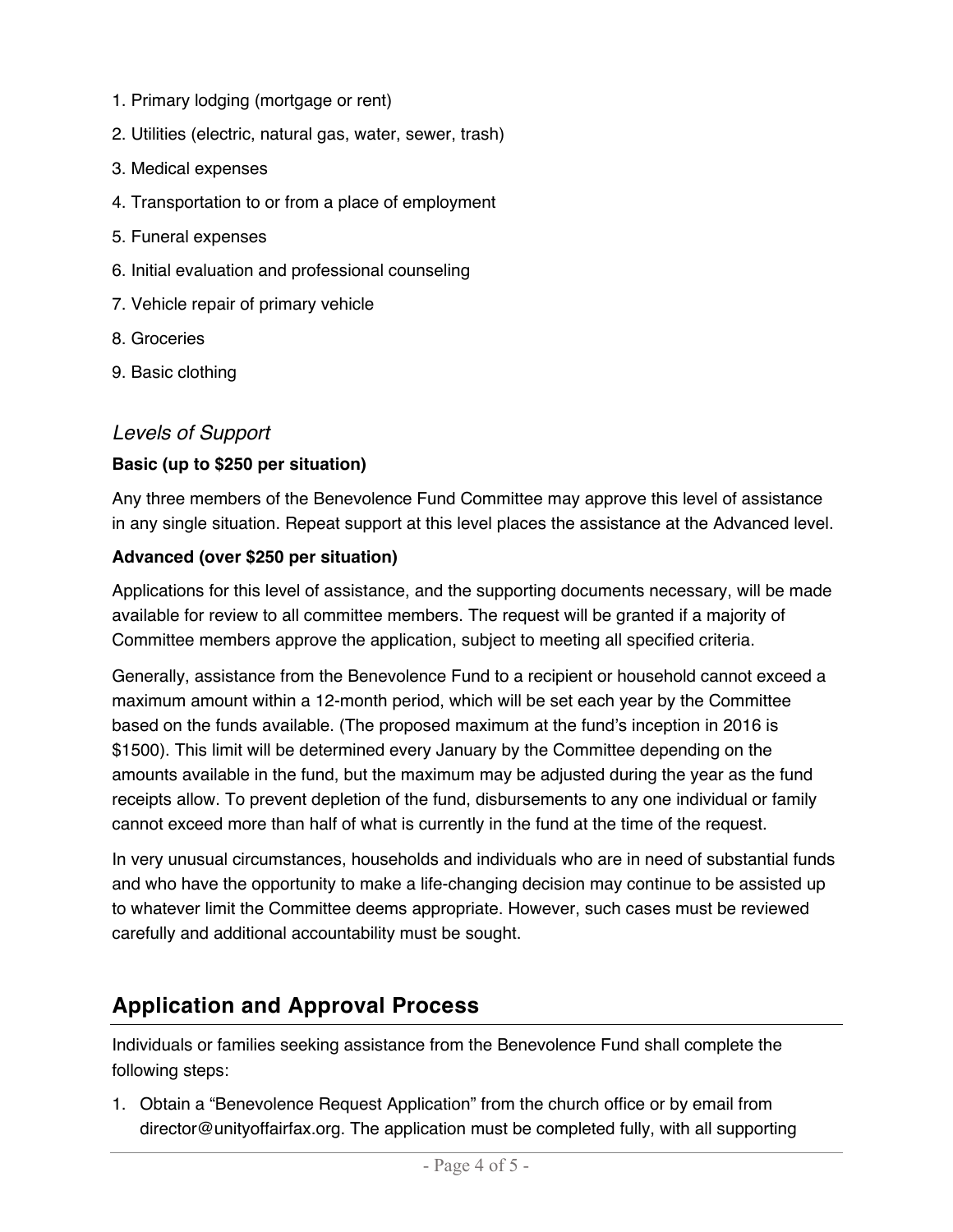- 1. Primary lodging (mortgage or rent)
- 2. Utilities (electric, natural gas, water, sewer, trash)
- 3. Medical expenses
- 4. Transportation to or from a place of employment
- 5. Funeral expenses
- 6. Initial evaluation and professional counseling
- 7. Vehicle repair of primary vehicle
- 8. Groceries
- 9. Basic clothing

#### *Levels of Support*

#### **Basic (up to \$250 per situation)**

Any three members of the Benevolence Fund Committee may approve this level of assistance in any single situation. Repeat support at this level places the assistance at the Advanced level.

#### **Advanced (over \$250 per situation)**

Applications for this level of assistance, and the supporting documents necessary, will be made available for review to all committee members. The request will be granted if a majority of Committee members approve the application, subject to meeting all specified criteria.

Generally, assistance from the Benevolence Fund to a recipient or household cannot exceed a maximum amount within a 12-month period, which will be set each year by the Committee based on the funds available. (The proposed maximum at the fund's inception in 2016 is \$1500). This limit will be determined every January by the Committee depending on the amounts available in the fund, but the maximum may be adjusted during the year as the fund receipts allow. To prevent depletion of the fund, disbursements to any one individual or family cannot exceed more than half of what is currently in the fund at the time of the request.

In very unusual circumstances, households and individuals who are in need of substantial funds and who have the opportunity to make a life-changing decision may continue to be assisted up to whatever limit the Committee deems appropriate. However, such cases must be reviewed carefully and additional accountability must be sought.

# **Application and Approval Process**

Individuals or families seeking assistance from the Benevolence Fund shall complete the following steps:

1. Obtain a "Benevolence Request Application" from the church office or by email from director@unityoffairfax.org. The application must be completed fully, with all supporting